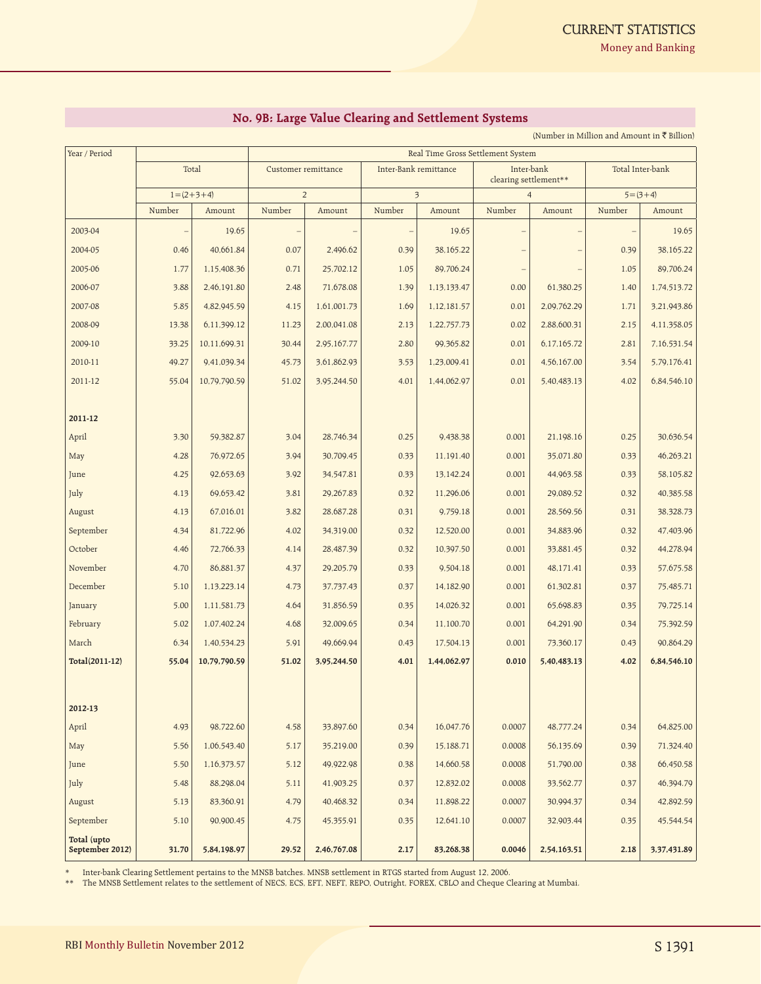**Money and Banking** 

## **No. 9B: Large Value Clearing and Settlement Systems**

(Number in Million and Amount in  $\bar{\tau}$  Billion)

| Year / Period                  |                            |              | Real Time Gross Settlement System |             |                         |             |                                     |             |                  |             |  |
|--------------------------------|----------------------------|--------------|-----------------------------------|-------------|-------------------------|-------------|-------------------------------------|-------------|------------------|-------------|--|
|                                | Total<br>$1 = (2 + 3 + 4)$ |              | Customer remittance               |             | Inter-Bank remittance   |             | Inter-bank<br>clearing settlement** |             | Total Inter-bank |             |  |
|                                |                            |              | $\overline{2}$                    |             | $\overline{\mathbf{3}}$ |             | $\overline{4}$                      |             | $5 = (3 + 4)$    |             |  |
|                                | Number                     | Amount       | Number                            | Amount      | Number                  | Amount      | Number                              | Amount      | Number           | Amount      |  |
| 2003-04                        |                            | 19.65        |                                   |             |                         | 19.65       |                                     |             |                  | 19.65       |  |
| 2004-05                        | 0.46                       | 40,661.84    | 0.07                              | 2,496.62    | 0.39                    | 38,165.22   |                                     |             | 0.39             | 38,165.22   |  |
| 2005-06                        | 1.77                       | 1,15,408.36  | 0.71                              | 25,702.12   | 1.05                    | 89,706.24   | $\qquad \qquad$                     |             | 1.05             | 89,706.24   |  |
| 2006-07                        | 3.88                       | 2,46,191.80  | 2.48                              | 71,678.08   | 1.39                    | 1,13,133.47 | 0.00                                | 61,380.25   | 1.40             | 1,74,513.72 |  |
| 2007-08                        | 5.85                       | 4,82,945.59  | 4.15                              | 1,61,001.73 | 1.69                    | 1,12,181.57 | 0.01                                | 2,09,762.29 | 1.71             | 3,21,943.86 |  |
| 2008-09                        | 13.38                      | 6,11,399.12  | 11.23                             | 2,00,041.08 | 2.13                    | 1,22,757.73 | 0.02                                | 2,88,600.31 | 2.15             | 4,11,358.05 |  |
| 2009-10                        | 33.25                      | 10,11,699.31 | 30.44                             | 2,95,167.77 | 2.80                    | 99,365.82   | 0.01                                | 6,17,165.72 | 2.81             | 7,16,531.54 |  |
| 2010-11                        | 49.27                      | 9,41,039.34  | 45.73                             | 3,61,862.93 | 3.53                    | 1,23,009.41 | 0.01                                | 4,56,167.00 | 3.54             | 5,79,176.41 |  |
| 2011-12                        | 55.04                      | 10,79,790.59 | 51.02                             | 3,95,244.50 | 4.01                    | 1,44,062.97 | 0.01                                | 5,40,483.13 | 4.02             | 6,84,546.10 |  |
|                                |                            |              |                                   |             |                         |             |                                     |             |                  |             |  |
| 2011-12                        |                            |              |                                   |             |                         |             |                                     |             |                  |             |  |
| April                          | 3.30                       | 59,382.87    | 3.04                              | 28.746.34   | 0.25                    | 9,438.38    | 0.001                               | 21,198.16   | 0.25             | 30,636.54   |  |
| May                            | 4.28                       | 76,972.65    | 3.94                              | 30,709.45   | 0.33                    | 11,191.40   | 0.001                               | 35,071.80   | 0.33             | 46,263.21   |  |
| June                           | 4.25                       | 92,653.63    | 3.92                              | 34,547.81   | 0.33                    | 13,142.24   | 0.001                               | 44,963.58   | 0.33             | 58,105.82   |  |
| July                           | 4.13                       | 69,653.42    | 3.81                              | 29,267.83   | 0.32                    | 11,296.06   | 0.001                               | 29,089.52   | 0.32             | 40,385.58   |  |
| August                         | 4.13                       | 67,016.01    | 3.82                              | 28,687.28   | 0.31                    | 9,759.18    | 0.001                               | 28,569.56   | 0.31             | 38,328.73   |  |
| September                      | 4.34                       | 81,722.96    | 4.02                              | 34,319.00   | 0.32                    | 12,520.00   | 0.001                               | 34,883.96   | 0.32             | 47,403.96   |  |
| October                        | 4.46                       | 72,766.33    | 4.14                              | 28,487.39   | 0.32                    | 10,397.50   | 0.001                               | 33,881.45   | 0.32             | 44,278.94   |  |
| November                       | 4.70                       | 86,881.37    | 4.37                              | 29,205.79   | 0.33                    | 9,504.18    | 0.001                               | 48,171.41   | 0.33             | 57,675.58   |  |
| December                       | 5.10                       | 1,13,223.14  | 4.73                              | 37,737.43   | 0.37                    | 14,182.90   | 0.001                               | 61,302.81   | 0.37             | 75,485.71   |  |
| January                        | 5.00                       | 1,11,581.73  | 4.64                              | 31,856.59   | 0.35                    | 14,026.32   | 0.001                               | 65,698.83   | 0.35             | 79,725.14   |  |
| February                       | 5.02                       | 1,07,402.24  | 4.68                              | 32,009.65   | 0.34                    | 11,100.70   | 0.001                               | 64,291.90   | 0.34             | 75,392.59   |  |
| March                          | 6.34                       | 1,40,534.23  | 5.91                              | 49,669.94   | 0.43                    | 17,504.13   | 0.001                               | 73,360.17   | 0.43             | 90,864.29   |  |
| Total(2011-12)                 | 55.04                      | 10,79,790.59 | 51.02                             | 3,95,244.50 | 4.01                    | 1,44,062.97 | 0.010                               | 5,40,483.13 | 4.02             | 6,84,546.10 |  |
|                                |                            |              |                                   |             |                         |             |                                     |             |                  |             |  |
| 2012-13                        |                            |              |                                   |             |                         |             |                                     |             |                  |             |  |
| April                          | 4.93                       | 98,722.60    | 4.58                              | 33,897.60   | 0.34                    | 16,047.76   | 0.0007                              | 48,777.24   | 0.34             | 64,825.00   |  |
| May                            | 5.56                       | 1,06,543.40  | 5.17                              | 35,219.00   | 0.39                    | 15,188.71   | 0.0008                              | 56,135.69   | 0.39             | 71,324.40   |  |
| June                           | 5.50                       | 1,16,373.57  | 5.12                              | 49,922.98   | 0.38                    | 14,660.58   | 0.0008                              | 51,790.00   | 0.38             | 66,450.58   |  |
| July                           | 5.48                       | 88,298.04    | 5.11                              | 41,903.25   | 0.37                    | 12,832.02   | 0.0008                              | 33,562.77   | 0.37             | 46,394.79   |  |
| August                         | 5.13                       | 83,360.91    | 4.79                              | 40,468.32   | 0.34                    | 11,898.22   | 0.0007                              | 30,994.37   | 0.34             | 42,892.59   |  |
| September                      | 5.10                       | 90,900.45    | 4.75                              | 45,355.91   | 0.35                    | 12,641.10   | 0.0007                              | 32,903.44   | 0.35             | 45,544.54   |  |
| Total (upto<br>September 2012) | 31.70                      | 5,84,198.97  | 29.52                             | 2,46,767.08 | 2.17                    | 83,268.38   | 0.0046                              | 2,54,163.51 | 2.18             | 3,37,431.89 |  |

\* Inter-bank Clearing Settlement pertains to the MNSB batches. MNSB settlement in RTGS started from August 12, 2006.

\*\* The MNSB Settlement relates to the settlement of NECS, ECS, EFT, NEFT, REPO, Outright, FOREX, CBLO and Cheque Clearing at Mumbai.